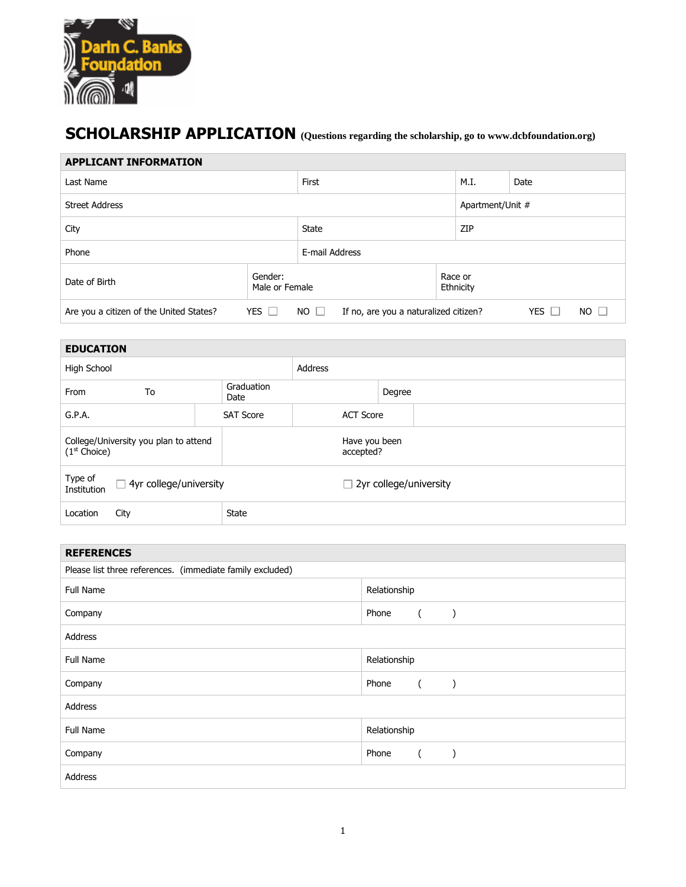

## **SCHOLARSHIP APPLICATION (Questions regarding the scholarship, go to www.dcbfoundation.org)**

| <b>APPLICANT INFORMATION</b>                                                                                                               |                           |  |                  |                      |  |  |
|--------------------------------------------------------------------------------------------------------------------------------------------|---------------------------|--|------------------|----------------------|--|--|
| Last Name                                                                                                                                  | First                     |  | M.I.             | Date                 |  |  |
| <b>Street Address</b>                                                                                                                      |                           |  | Apartment/Unit # |                      |  |  |
| City                                                                                                                                       | <b>State</b>              |  | ZIP              |                      |  |  |
| Phone                                                                                                                                      | E-mail Address            |  |                  |                      |  |  |
| Date of Birth                                                                                                                              | Gender:<br>Male or Female |  |                  | Race or<br>Ethnicity |  |  |
| YES $\Box$<br>YES $\Box$<br>Are you a citizen of the United States?<br>If no, are you a naturalized citizen?<br>NO.<br>NO.<br>$\mathbf{1}$ |                           |  |                  |                      |  |  |

| <b>EDUCATION</b>                                                  |      |                            |                  |                               |  |  |
|-------------------------------------------------------------------|------|----------------------------|------------------|-------------------------------|--|--|
| High School                                                       |      | <b>Address</b>             |                  |                               |  |  |
| From                                                              | To   | Graduation<br>Date         |                  | Degree                        |  |  |
| G.P.A.                                                            |      | <b>SAT Score</b>           | <b>ACT Score</b> |                               |  |  |
| College/University you plan to attend<br>(1 <sup>st</sup> Choice) |      | Have you been<br>accepted? |                  |                               |  |  |
| Type of<br>$\Box$ 4yr college/university<br>Institution           |      |                            |                  | $\Box$ 2yr college/university |  |  |
| Location                                                          | City | <b>State</b>               |                  |                               |  |  |

| <b>REFERENCES</b>                                         |                   |  |  |  |
|-----------------------------------------------------------|-------------------|--|--|--|
| Please list three references. (immediate family excluded) |                   |  |  |  |
| <b>Full Name</b>                                          | Relationship      |  |  |  |
| Company                                                   | Phone             |  |  |  |
| Address                                                   |                   |  |  |  |
| Full Name                                                 | Relationship      |  |  |  |
| Company                                                   | Phone             |  |  |  |
| Address                                                   |                   |  |  |  |
| Full Name                                                 | Relationship      |  |  |  |
| Company                                                   | Phone<br>$\left($ |  |  |  |
| Address                                                   |                   |  |  |  |